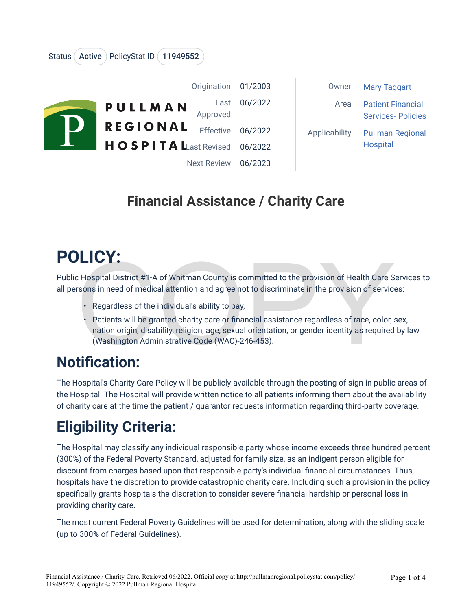|  | Origination                                       | 01/2003            | Owner         | <b>Mary Taggart</b>                                  |
|--|---------------------------------------------------|--------------------|---------------|------------------------------------------------------|
|  | Last<br>PULLMAN<br>Approved                       | 06/2022            | Area          | <b>Patient Financial</b><br><b>Services-Policies</b> |
|  | <b>REGIONAL</b><br><b>Effective</b>               | 06/2022            | Applicability | <b>Pullman Regional</b>                              |
|  | <b>HOSPITA Last Revised</b><br><b>Next Review</b> | 06/2022<br>06/2023 |               | <b>Hospital</b>                                      |

#### **Financial Assistance / Charity Care**

# **POLICY:**

Status (Active ) PolicyStat ID (11949552

Public Hospital District #1-A of Whitman County is committed to the provision of Health Care Services to all persons in need of medical attention and agree not to discriminate in the provision of services:

- Regardless of the individual's ability to pay,
- Example 10 and Terminate to the provision of Health Care S<br>
Example 10 and Terminate in the provision of Health Care S<br>
Example 10 and agree not to discriminate in the provision of service<br>
Regardless of the individual's a • Patients will be granted charity care or financial assistance regardless of race, color, sex, nation origin, disability, religion, age, sexual orientation, or gender identity as required by law (Washington Administrative Code (WAC)-246-453).

#### **Notification:**

The Hospital's Charity Care Policy will be publicly available through the posting of sign in public areas of the Hospital. The Hospital will provide written notice to all patients informing them about the availability of charity care at the time the patient / guarantor requests information regarding third-party coverage.

## **Eligibility Criteria:**

The Hospital may classify any individual responsible party whose income exceeds three hundred percent (300%) of the Federal Poverty Standard, adjusted for family size, as an indigent person eligible for discount from charges based upon that responsible party's individual financial circumstances. Thus, hospitals have the discretion to provide catastrophic charity care. Including such a provision in the policy specifically grants hospitals the discretion to consider severe financial hardship or personal loss in providing charity care.

The most current Federal Poverty Guidelines will be used for determination, along with the sliding scale (up to 300% of Federal Guidelines).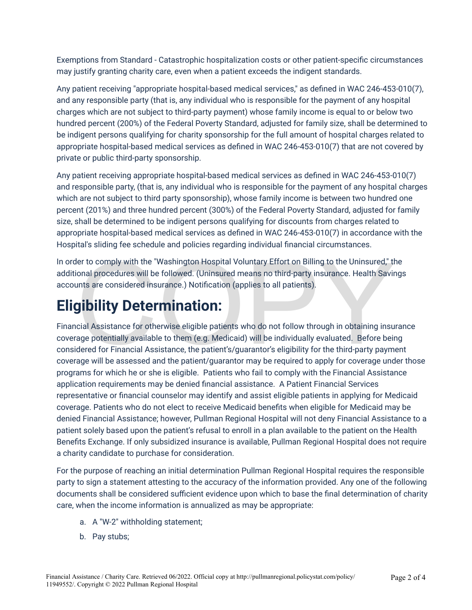Exemptions from Standard - Catastrophic hospitalization costs or other patient-specific circumstances may justify granting charity care, even when a patient exceeds the indigent standards.

Any patient receiving "appropriate hospital-based medical services," as defined in WAC 246-453-010(7), and any responsible party (that is, any individual who is responsible for the payment of any hospital charges which are not subject to third-party payment) whose family income is equal to or below two hundred percent (200%) of the Federal Poverty Standard, adjusted for family size, shall be determined to be indigent persons qualifying for charity sponsorship for the full amount of hospital charges related to appropriate hospital-based medical services as defined in WAC 246-453-010(7) that are not covered by private or public third-party sponsorship.

Any patient receiving appropriate hospital-based medical services as defined in WAC 246-453-010(7) and responsible party, (that is, any individual who is responsible for the payment of any hospital charges which are not subject to third party sponsorship), whose family income is between two hundred one percent (201%) and three hundred percent (300%) of the Federal Poverty Standard, adjusted for family size, shall be determined to be indigent persons qualifying for discounts from charges related to appropriate hospital-based medical services as defined in WAC 246-453-010(7) in accordance with the Hospital's sliding fee schedule and policies regarding individual financial circumstances.

In order to comply with the "Washington Hospital Voluntary Effort on Billing to the Uninsured," the additional procedures will be followed. (Uninsured means no third-party insurance. Health Savings accounts are considered insurance.) Notification (applies to all patients).

In order to comply with the "Washington Hospital Voluntary Effort on Billing to the Uninsured," the additional procedures will be followed. (Uninsured means no third-party insurance. Health Savir<br>accounts are considered in Financial Assistance for otherwise eligible patients who do not follow through in obtaining insurance coverage potentially available to them (e.g. Medicaid) will be individually evaluated. Before being considered for Financial Assistance, the patient's/guarantor's eligibility for the third-party payment coverage will be assessed and the patient/guarantor may be required to apply for coverage under those programs for which he or she is eligible. Patients who fail to comply with the Financial Assistance application requirements may be denied financial assistance. A Patient Financial Services representative or financial counselor may identify and assist eligible patients in applying for Medicaid coverage. Patients who do not elect to receive Medicaid benefits when eligible for Medicaid may be denied Financial Assistance; however, Pullman Regional Hospital will not deny Financial Assistance to a patient solely based upon the patient's refusal to enroll in a plan available to the patient on the Health Benefits Exchange. If only subsidized insurance is available, Pullman Regional Hospital does not require a charity candidate to purchase for consideration.

For the purpose of reaching an initial determination Pullman Regional Hospital requires the responsible party to sign a statement attesting to the accuracy of the information provided. Any one of the following documents shall be considered sufficient evidence upon which to base the final determination of charity care, when the income information is annualized as may be appropriate:

- a. A "W-2" withholding statement;
- b. Pay stubs;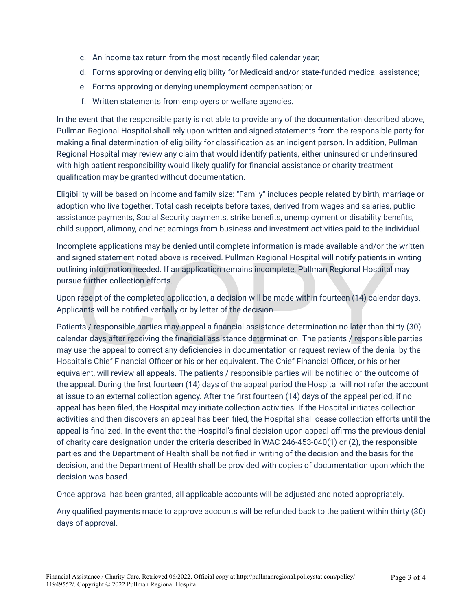- c. An income tax return from the most recently filed calendar year;
- d. Forms approving or denying eligibility for Medicaid and/or state-funded medical assistance;
- e. Forms approving or denying unemployment compensation; or
- f. Written statements from employers or welfare agencies.

In the event that the responsible party is not able to provide any of the documentation described above, Pullman Regional Hospital shall rely upon written and signed statements from the responsible party for making a final determination of eligibility for classification as an indigent person. In addition, Pullman Regional Hospital may review any claim that would identify patients, either uninsured or underinsured with high patient responsibility would likely qualify for financial assistance or charity treatment qualification may be granted without documentation.

Eligibility will be based on income and family size: "Family" includes people related by birth, marriage or adoption who live together. Total cash receipts before taxes, derived from wages and salaries, public assistance payments, Social Security payments, strike benefits, unemployment or disability benefits, child support, alimony, and net earnings from business and investment activities paid to the individual.

Incomplete applications may be denied until complete information is made available and/or the written and signed statement noted above is received. Pullman Regional Hospital will notify patients in writing outlining information needed. If an application remains incomplete, Pullman Regional Hospital may pursue further collection efforts.

Upon receipt of the completed application, a decision will be made within fourteen (14) calendar days. Applicants will be notified verbally or by letter of the decision.

igned statement noted above is received. Pullman Regional Hospital will notify patients in<br>ing information needed. If an application remains incomplete, Pullman Regional Hospital<br>le further collection efforts.<br>receipt of t Patients / responsible parties may appeal a financial assistance determination no later than thirty (30) calendar days after receiving the financial assistance determination. The patients / responsible parties may use the appeal to correct any deficiencies in documentation or request review of the denial by the Hospital's Chief Financial Officer or his or her equivalent. The Chief Financial Officer, or his or her equivalent, will review all appeals. The patients / responsible parties will be notified of the outcome of the appeal. During the first fourteen (14) days of the appeal period the Hospital will not refer the account at issue to an external collection agency. After the first fourteen (14) days of the appeal period, if no appeal has been filed, the Hospital may initiate collection activities. If the Hospital initiates collection activities and then discovers an appeal has been filed, the Hospital shall cease collection efforts until the appeal is finalized. In the event that the Hospital's final decision upon appeal affirms the previous denial of charity care designation under the criteria described in WAC 246-453-040(1) or (2), the responsible parties and the Department of Health shall be notified in writing of the decision and the basis for the decision, and the Department of Health shall be provided with copies of documentation upon which the decision was based.

Once approval has been granted, all applicable accounts will be adjusted and noted appropriately.

Any qualified payments made to approve accounts will be refunded back to the patient within thirty (30) days of approval.